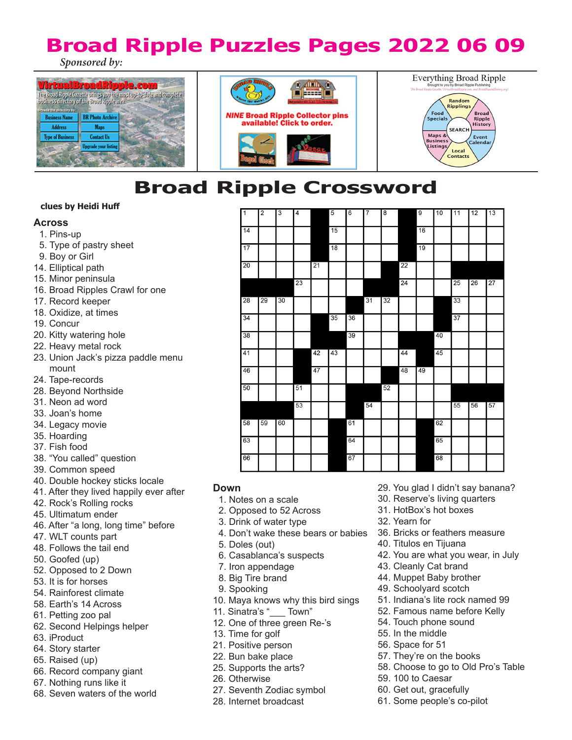# **Broad Ripple Puzzles Pages 2022 06 09** *Sponsored by:*







**Broad Ripple Crossword**

# **clues by Heidi Huff**

# **Across**

- 1. Pins-up
- 5. Type of pastry sheet
- 9. Boy or Girl
- 14. Elliptical path
- 15. Minor peninsula
- 16. Broad Ripples Crawl for one
- 17. Record keeper
- 18. Oxidize, at times
- 19. Concur
- 20. Kitty watering hole
- 22. Heavy metal rock
- 23. Union Jack's pizza paddle menu mount
- 24. Tape-records
- 28. Beyond Northside
- 31. Neon ad word
- 33. Joan's home
- 34. Legacy movie
- 35. Hoarding
- 37. Fish food
- 38. "You called" question
- 39. Common speed
- 40. Double hockey sticks locale
- 41. After they lived happily ever after
- 42. Rock's Rolling rocks
- 45. Ultimatum ender
- 46. After "a long, long time" before
- 47. WLT counts part
- 48. Follows the tail end
- 50. Goofed (up)
- 52. Opposed to 2 Down
- 53. It is for horses
- 54. Rainforest climate
- 58. Earth's 14 Across
- 61. Petting zoo pal
- 62. Second Helpings helper
- 63. iProduct
- 64. Story starter
- 65. Raised (up)
- 66. Record company giant
- 67. Nothing runs like it
- 68. Seven waters of the world

| $\overline{1}$  | $\overline{2}$ | $\overline{3}$ | 4  |    | $\overline{5}$ | $6\overline{6}$ | $\overline{7}$ | 8  |    | $\overline{9}$ | 10 | $\overline{11}$ | 12 | 13              |
|-----------------|----------------|----------------|----|----|----------------|-----------------|----------------|----|----|----------------|----|-----------------|----|-----------------|
|                 |                |                |    |    |                |                 |                |    |    |                |    |                 |    |                 |
| $\overline{14}$ |                |                |    |    | 15             |                 |                |    |    | 16             |    |                 |    |                 |
|                 |                |                |    |    |                |                 |                |    |    |                |    |                 |    |                 |
| 17              |                |                |    |    | 18             |                 |                |    |    | 19             |    |                 |    |                 |
| 20              |                |                |    | 21 |                |                 |                |    | 22 |                |    |                 |    |                 |
|                 |                |                |    |    |                |                 |                |    |    |                |    |                 |    |                 |
|                 |                |                | 23 |    |                |                 |                |    | 24 |                |    | 25              | 26 | $\overline{27}$ |
| 28              | 29             | 30             |    |    |                |                 | 31             | 32 |    |                |    | 33              |    |                 |
| 34              |                |                |    |    | 35             | 36              |                |    |    |                |    | 37              |    |                 |
|                 |                |                |    |    |                |                 |                |    |    |                |    |                 |    |                 |
| 38              |                |                |    |    |                | 39              |                |    |    |                | 40 |                 |    |                 |
| 41              |                |                |    | 42 | 43             |                 |                |    | 44 |                | 45 |                 |    |                 |
|                 |                |                |    |    |                |                 |                |    |    |                |    |                 |    |                 |
| 46              |                |                |    | 47 |                |                 |                |    | 48 | 49             |    |                 |    |                 |
| 50              |                |                | 51 |    |                |                 |                | 52 |    |                |    |                 |    |                 |
|                 |                |                | 53 |    |                |                 | 54             |    |    |                |    | 55              | 56 | 57              |
| 58              | 59             | 60             |    |    |                | 61              |                |    |    |                | 62 |                 |    |                 |
|                 |                |                |    |    |                |                 |                |    |    |                |    |                 |    |                 |
| 63              |                |                |    |    |                | 64              |                |    |    |                | 65 |                 |    |                 |
| 66              |                |                |    |    |                | 67              |                |    |    |                | 68 |                 |    |                 |

# **Down**

- 1. Notes on a scale
- 2. Opposed to 52 Across
- 3. Drink of water type
- 4. Don't wake these bears or babies
- 5. Doles (out)
- 6. Casablanca's suspects
- 7. Iron appendage
- 8. Big Tire brand
- 9. Spooking
- 10. Maya knows why this bird sings
- 11. Sinatra's " \_\_ Town"
- 12. One of three green Re-'s
- 13. Time for golf
- 21. Positive person
- 22. Bun bake place
- 25. Supports the arts?
- 26. Otherwise
- 27. Seventh Zodiac symbol
- 28. Internet broadcast
- 29. You glad I didn't say banana?
- 30. Reserve's living quarters
- 31. HotBox's hot boxes
- 32. Yearn for
- 36. Bricks or feathers measure
- 40. Titulos en Tijuana
- 42. You are what you wear, in July
- 43. Cleanly Cat brand
- 44. Muppet Baby brother
- 49. Schoolyard scotch
- 51. Indiana's lite rock named 99
- 52. Famous name before Kelly
- 54. Touch phone sound
- 55. In the middle
- 56. Space for 51
- 57. They're on the books
- 58. Choose to go to Old Pro's Table
- 59. 100 to Caesar
- 60. Get out, gracefully
- 61. Some people's co-pilot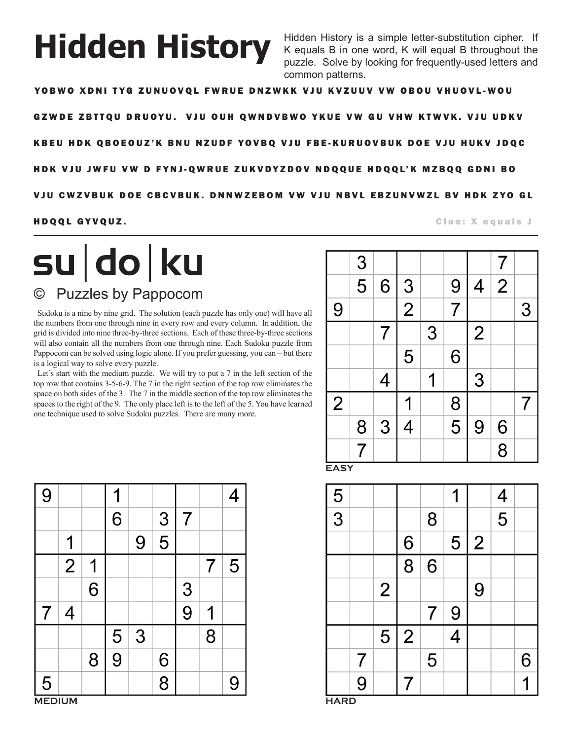# **Hidden History**

Hidden History is a simple letter-substitution cipher. If K equals B in one word, K will equal B throughout the puzzle. Solve by looking for frequently-used letters and common patterns.

YOBWO XDNI TYG ZUNUOVQL FWRUE DNZWKK VJU KVZUUV VW OBOU VHUOVL-WOU

GZWDE ZBTTQU DRUOYU. VJU OUH QWNDVBWO YKUE VW GU VHW KTWVK. VJU UDKV

K B EU H D K Q B O E O U Z' K B N U N Z U D F Y O V B Q V J U F B E - K U R U O V B U K D O E V J U H U K V J D Q C

HDK VJU JWFU VW D FYNJ-QWRUE ZUKVDYZDOV NDQQUE HDQQL'K MZBQQ GDNI BO

VJU CWZVBUK DOE CBCVBUK. DNNWZEBOM VW VJU NBVL EBZUNVWZL BV HDK ZYO GL

# **HDQQL GYVQUZ.** The contract of the contract of the contract of the contract of the contract of the contract of the contract of the contract of the contract of the contract of the contract of the contract of the contract o

su do ku **Puzzles by Pappocom**  $\odot$ 

Sudoku is a nine by nine grid. The solution (each puzzle has only one) will have all the numbers from one through nine in every row and every column. In addition, the grid is divided into nine three-by-three sections. Each of these three-by-three sections will also contain all the numbers from one through nine. Each Sudoku puzzle from Pappocom can be solved using logic alone. If you prefer guessing, you can – but there is a logical way to solve every puzzle.

Let's start with the medium puzzle. We will try to put a 7 in the left section of the top row that contains 3-5-6-9. The 7 in the right section of the top row eliminates the space on both sides of the 3. The 7 in the middle section of the top row eliminates the spaces to the right of the 9. The only place left is to the left of the 5. You have learned one technique used to solve Sudoku puzzles. There are many more.

|                | $\overline{3}$ |   |               |   |                |                | 7              |   |
|----------------|----------------|---|---------------|---|----------------|----------------|----------------|---|
|                | $\overline{5}$ | 6 |               |   | 9              | 4              | $\overline{2}$ |   |
| 9              |                |   | $\frac{3}{2}$ |   | $\overline{7}$ |                |                | 3 |
|                |                |   |               | 3 |                | $\overline{2}$ |                |   |
|                |                |   | 5             |   | 6              |                |                |   |
|                |                | 4 |               |   |                | 3              |                |   |
| $\overline{2}$ |                |   |               |   | 8              |                |                |   |
|                | $\overline{8}$ | 3 | 4             |   | $\overline{5}$ | 9              | $\overline{6}$ |   |
|                | $\overline{7}$ |   |               |   |                |                | $\overline{8}$ |   |

**EASY**